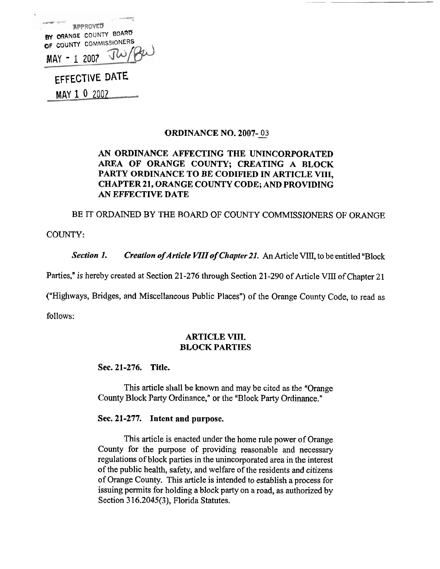| <b>APPROVED</b>                                   |
|---------------------------------------------------|
| BY ORANGE COUNTY BOARD<br>OF COUNTY COMMISSIONERS |
| MAY-1 2007 TW/PW                                  |
| EFFECTIVE DATE                                    |

MAY 1 **<sup>0</sup>**<sup>2007</sup>

## **ORDINANCE NO. 2007-03**

# **AN ORDINANCE AFFECTING THE UNINCORPORATED AREA OF ORANGE COUNTY; CREATING A BLOCK PARTY ORDINANCE TO BE CODIFIED IN ARTICLE VIII, CHAPTER 21, ORANGE COUNTY CODE; AND PROVIDING**  AN **EFFECTIVE DATE**

BE IT ORDAINED BY THE BOARD OF COUNTY COMMISSIONERS OF ORANGE

COUNTY:

Section 1. Creation of Article VIII of Chapter 21. An Article VIII, to be entitled "Block

Parties," is hereby created at Section 21-276 through Section 21-290 of Article VIII of Chapter 21 entitled "Block Parties," is hereby created at Section 21-276 ated at Section 21-270 unough Section 21-290 of Article VIII  $\sigma$ 

("Highways, Bridges, and Miscellaneous Public Places") of the Orange County Code, to read as ("Highways, Bridges, and Miscellaneous Public Places") of the

follows:

## **ARTICLE VIII. BLOCK PARTIES**

## **Sec. 21-276. Title.**

This article shall be known and may be cited as the "Orange County Block Party Ordinance," or the "Block Party Ordinance."

## **Sec. 21-277. Intent and purpose.**

This article is enacted under the home rule power of Orange County for the purpose of providing reasonable and necessary regulations of block parties in the unincorporated area in the interest of the public health, safety, and welfare of the residents and citizens of Orange County. This article is intended to establish a process for issuing permits for holding a block party on a road, as authorized by Section 3 16.2045(3), Florida Statutes.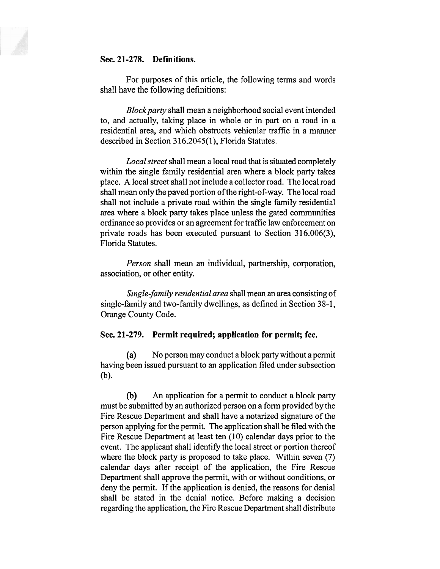## **Sec. 21-278. Definitions.**

For purposes of this article, the following terms and words shall have the following definitions:

*Block party* shall mean a neighborhood social event intended to, and actually, taking place in whole or in part on a road in a residential area, and which obstructs vehicular traffic in a manner described in Section 3 16.2045(1), Florida Statutes. 16.2045(1), Florida Statutes.

*Localstreet* shall mean a local road that is situated completely within the single family residential area where a block party takes place. **A** local street shall not include a collector road. The local road shall mean only the paved portion of the right-of-way. The local road shall not include a private road within the single family residential area where a block party takes place unless the gated communities ordinance so provides or an agreement for traffic law enforcement on private roads has been executed pursuant to Section 316.006(3), Florida Statutes.

*Person* shall mean an individual, partnership, corporation, association, or other entity.

*Single-family residential area* shall mean *an* area consisting of single-family and two-family dwellings, as defined in Section 38-1, Orange County Code.

#### **Sec. 21-279. Permit required; application for permit; fee.**

(a) No person may conduct a block party without a permit having been issued pursuant to an application filed under subsection (b).

**(b) An** application for a permit to conduct a block party must be submitted by an authorized person on a form provided by the Fire Rescue Department and shall have a notarized signature of the person applying for the permit. The application shall be filed with the Fire Rescue Department at least ten (10) calendar days prior to the event. The applicant shall identify the local street or portion thereof where the block party is proposed to take place. Within seven (7) calendar days after receipt of the application, the Fire Rescue Department shall approve the permit, with or without conditions, or deny the permit. If the application is denied, the reasons for denial shall be stated in the denial notice. Before making a decision regarding the application, the Fire Rescue Department shall distribute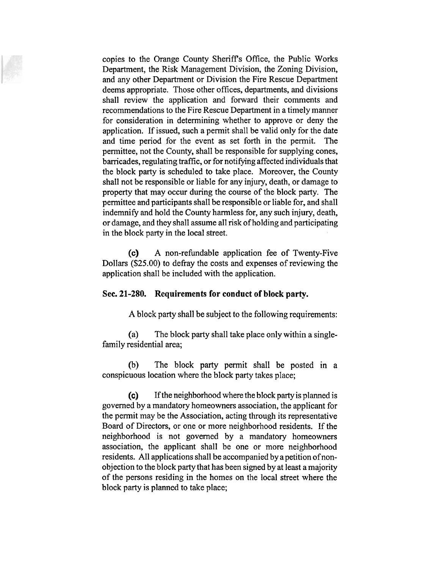copies to the Orange County Sheriffs Office, the Public Works Department, the Risk Management Division, the Zoning Division, and any other Department or Division the Fire Rescue Department deems appropriate. Those other offices, departments, and divisions shall review the application and forward their comments and recommendations to the Fire Rescue Department in a timely manner for consideration in determining whether to approve or deny the application. If issued, such a permit shall be valid only for the date and time period for the event as set forth in the permit. The permittee, not the County, shall be responsible for supplying cones, barricades, regulating traffic, or for notifying affected individuals that the block party is scheduled to take place. Moreover, the County shall not be responsible or liable for any injury, death, or damage to property that may occur during the course of the block party. The permittee and participants shall be responsible or liable for, and shall indemnify and hold the County harmless for, any such injury, death, or damage, and they shall assume all risk of holding and participating in the block party in the local street.

(c) A non-refundable application fee of Twenty-Five Dollars (\$25.00) to defray the costs and expenses of reviewing the application shall be included with the application.

#### **Sec. 21-280. Requirements for conduct of block party.**

A block party shall be subject to the following requirements:

(a) The block party shall take place only within a singlefamily residential area;

(b) The block party permit shall be posted in a conspicuous location where the block party takes place;

 $(c)$  If the neighborhood where the block party is planned is governed by a mandatory homeowners association, the applicant for the permit may be the Association, acting through its representative Board of Directors, or one or more neighborhood residents. If the neighborhood is not governed by a mandatory homeowners association, the applicant shall be one or more neighborhood residents. All applications shall be accompanied by a petition of nonobjection to the block party that has been signed by at least a majority of the persons residing in the homes on the local street where the block party is planned to take place;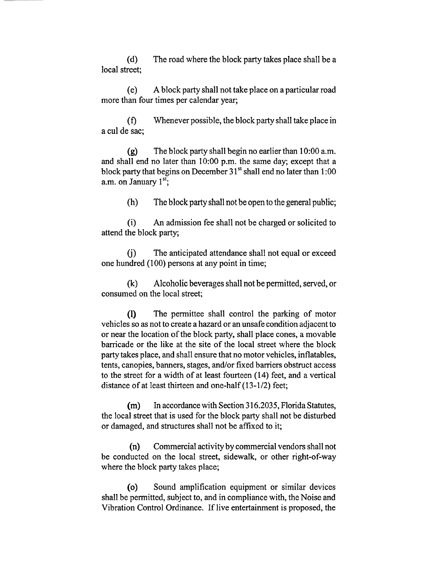(d) The road where the block party takes place shall be a local street;

(e) A block party shall not take place on a particular road more than four times per calendar year;

(f) Whenever possible, the block party shall take place in a cul de sac;

 $(g)$  The block party shall begin no earlier than 10:00 a.m. and shall end no later than 10:00 p.m. the same day; except that a block party that begins on December  $31<sup>st</sup>$  shall end no later than 1:00 a.m. on January 1<sup>st</sup>;

(h) The block party shall not be open to the general public; (h) The block party shall not be open to the general public;

 $(i)$  An admission fee shall not be charged or solicited to attend the block party; party;

(j) The anticipated attendance shall not equal or exceed one hundred (100) persons at any point in time;

(k) Alcoholic beverages shall not be permitted, served, or consumed on the local street; (k) consumed on the local street;

(I) The permittee shall control the parking of motor vehicles so as not to create a hazard or an unsafe condition adjacent to or near the location of the block party, shall place cones, a movable barricade or the like at the site of the local street where the block party takes place, and shall ensure that no motor vehicles, inflatables, tents, canopies, banners, stages, and/or fixed barriers obstruct access to the street for a width of at least fourteen  $(14)$  feet, and a vertical distance of at least thirteen and one-half  $(13-1/2)$  feet;

(m) In accordance with Section 316.2035, Florida Statutes, the local street that is used for the block party shall not be disturbed or damaged, and structures shall not be affixed to it;

(n) Commercial activity by commercial vendors shall not (n) Commercial activity by commercial vendors shall not be conducted on be conducted on the local street, sidewalk, or other right-of-way where the block party takes place;

(o) Sound amplification equipment or similar devices shall be permitted, subject to, and in compliance with, the Noise and Vibration Control Ordinance. If live entertainment is proposed, the Ordinance. If live entertainment is proposed, the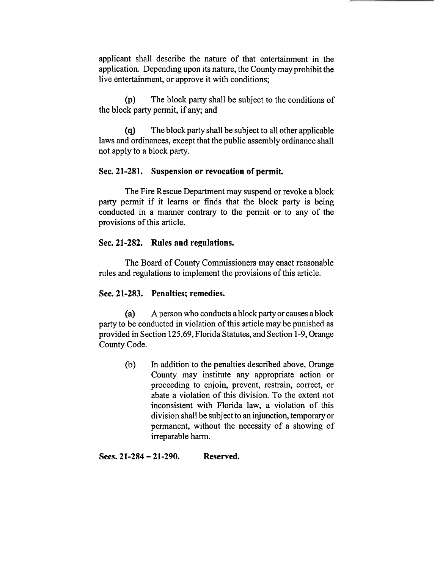applicant shall describe the nature of that entertainment in the applicant shall describe the nature of that entertainment in the application. Depending upon its nature, the County may prohibit the live entertainment, or approve it with conditions;

(p) The block party shall be subject to the conditions of the block party permit, if any; and

(q) The block party shall be subject to all other applicable laws and ordinances, except that the public assembly ordinance shall not apply to a block party.

## **Sec. 21-281. Suspension or revocation of permit.**

The Fire Rescue Department may suspend or revoke a block party permit if it learns or finds that the block party is being conducted in a manner contrary to the permit or to any of the provisions of this article.

## **Sec. 21-282. Rules and regulations.**

The Board of County Commissioners may enact reasonable rules and regulations to implement the provisions of this article.

# **Sec. 21-283. Penalties; remedies.**

(a) **A** person who conducts a block party or causes a block party to be conducted in violation of this article may be punished as provided in Section 125.69, Florida Statutes, and Section 1-9, Orange County Code.

(b) In addition to the penalties described above, Orange (b) In addition to the penalties described above, Orange County may institute any appropriate action or County may institute any appropriate action or proceeding to enjoin, prevent, restrain, correct, or abate a violation of this division. To the extent not inconsistent with Florida law, a violation of this division shall be subject to an injunction, temporary or permanent, without the necessity of a showing of irreparable harm.

**Secs. 21-284** - **21-290. Reserved.**